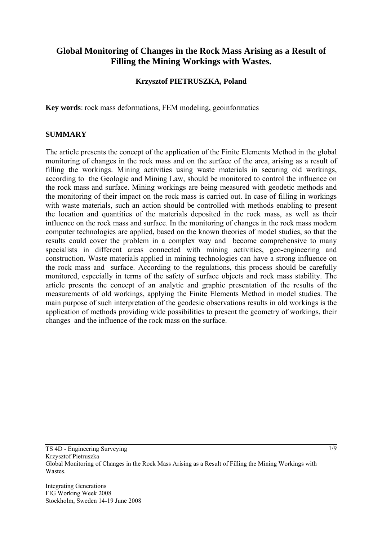# **Global Monitoring of Changes in the Rock Mass Arising as a Result of Filling the Mining Workings with Wastes.**

## **Krzysztof PIETRUSZKA, Poland**

**Key words**: rock mass deformations, FEM modeling, geoinformatics

#### **SUMMARY**

The article presents the concept of the application of the Finite Elements Method in the global monitoring of changes in the rock mass and on the surface of the area, arising as a result of filling the workings. Mining activities using waste materials in securing old workings, according to the Geologic and Mining Law, should be monitored to control the influence on the rock mass and surface. Mining workings are being measured with geodetic methods and the monitoring of their impact on the rock mass is carried out. In case of filling in workings with waste materials, such an action should be controlled with methods enabling to present the location and quantities of the materials deposited in the rock mass, as well as their influence on the rock mass and surface. In the monitoring of changes in the rock mass modern computer technologies are applied, based on the known theories of model studies, so that the results could cover the problem in a complex way and become comprehensive to many specialists in different areas connected with mining activities, geo-engineering and construction. Waste materials applied in mining technologies can have a strong influence on the rock mass and surface. According to the regulations, this process should be carefully monitored, especially in terms of the safety of surface objects and rock mass stability. The article presents the concept of an analytic and graphic presentation of the results of the measurements of old workings, applying the Finite Elements Method in model studies. The main purpose of such interpretation of the geodesic observations results in old workings is the application of methods providing wide possibilities to present the geometry of workings, their changes and the influence of the rock mass on the surface.

Integrating Generations FIG Working Week 2008 Stockholm, Sweden 14-19 June 2008 1/9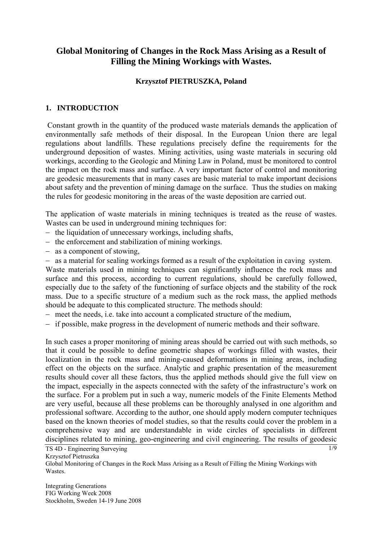# **Global Monitoring of Changes in the Rock Mass Arising as a Result of Filling the Mining Workings with Wastes.**

### **Krzysztof PIETRUSZKA, Poland**

# **1. INTRODUCTION**

 Constant growth in the quantity of the produced waste materials demands the application of environmentally safe methods of their disposal. In the European Union there are legal regulations about landfills. These regulations precisely define the requirements for the underground deposition of wastes. Mining activities, using waste materials in securing old workings, according to the Geologic and Mining Law in Poland, must be monitored to control the impact on the rock mass and surface. A very important factor of control and monitoring are geodesic measurements that in many cases are basic material to make important decisions about safety and the prevention of mining damage on the surface. Thus the studies on making the rules for geodesic monitoring in the areas of the waste deposition are carried out.

The application of waste materials in mining techniques is treated as the reuse of wastes. Wastes can be used in underground mining techniques for:

- − the liquidation of unnecessary workings, including shafts,
- − the enforcement and stabilization of mining workings.
- − as a component of stowing,
- − as a material for sealing workings formed as a result of the exploitation in caving system.

Waste materials used in mining techniques can significantly influence the rock mass and surface and this process, according to current regulations, should be carefully followed, especially due to the safety of the functioning of surface objects and the stability of the rock mass. Due to a specific structure of a medium such as the rock mass, the applied methods should be adequate to this complicated structure. The methods should:

- − meet the needs, i.e. take into account a complicated structure of the medium,
- − if possible, make progress in the development of numeric methods and their software.

In such cases a proper monitoring of mining areas should be carried out with such methods, so that it could be possible to define geometric shapes of workings filled with wastes, their localization in the rock mass and mining-caused deformations in mining areas, including effect on the objects on the surface. Analytic and graphic presentation of the measurement results should cover all these factors, thus the applied methods should give the full view on the impact, especially in the aspects connected with the safety of the infrastructure's work on the surface. For a problem put in such a way, numeric models of the Finite Elements Method are very useful, because all these problems can be thoroughly analysed in one algorithm and professional software. According to the author, one should apply modern computer techniques based on the known theories of model studies, so that the results could cover the problem in a comprehensive way and are understandable in wide circles of specialists in different disciplines related to mining, geo-engineering and civil engineering. The results of geodesic

 $\overline{1/9}$ 

Krzysztof Pietruszka

Global Monitoring of Changes in the Rock Mass Arising as a Result of Filling the Mining Workings with Wastes.

Integrating Generations FIG Working Week 2008 Stockholm, Sweden 14-19 June 2008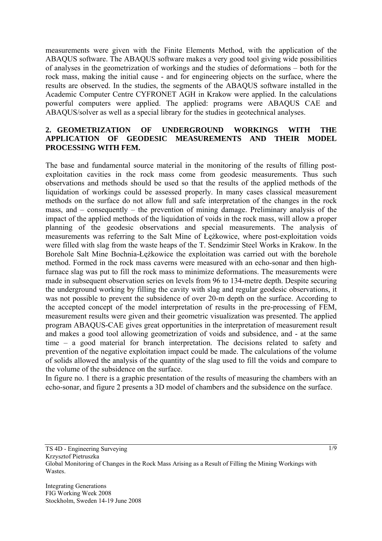measurements were given with the Finite Elements Method, with the application of the ABAQUS software. The ABAQUS software makes a very good tool giving wide possibilities of analyses in the geometrization of workings and the studies of deformations – both for the rock mass, making the initial cause - and for engineering objects on the surface, where the results are observed. In the studies, the segments of the ABAQUS software installed in the Academic Computer Centre CYFRONET AGH in Krakow were applied. In the calculations powerful computers were applied. The applied: programs were ABAQUS CAE and ABAQUS/solver as well as a special library for the studies in geotechnical analyses.

### **2. GEOMETRIZATION OF UNDERGROUND WORKINGS WITH THE APPLICATION OF GEODESIC MEASUREMENTS AND THEIR MODEL PROCESSING WITH FEM.**

The base and fundamental source material in the monitoring of the results of filling postexploitation cavities in the rock mass come from geodesic measurements. Thus such observations and methods should be used so that the results of the applied methods of the liquidation of workings could be assessed properly. In many cases classical measurement methods on the surface do not allow full and safe interpretation of the changes in the rock mass, and – consequently – the prevention of mining damage. Preliminary analysis of the impact of the applied methods of the liquidation of voids in the rock mass, will allow a proper planning of the geodesic observations and special measurements. The analysis of measurements was referring to the Salt Mine of Łężkowice, where post-exploitation voids were filled with slag from the waste heaps of the T. Sendzimir Steel Works in Krakow. In the Borehole Salt Mine Bochnia-Łężkowice the exploitation was carried out with the borehole method. Formed in the rock mass caverns were measured with an echo-sonar and then highfurnace slag was put to fill the rock mass to minimize deformations. The measurements were made in subsequent observation series on levels from 96 to 134-metre depth. Despite securing the underground working by filling the cavity with slag and regular geodesic observations, it was not possible to prevent the subsidence of over 20-m depth on the surface. According to the accepted concept of the model interpretation of results in the pre-processing of FEM, measurement results were given and their geometric visualization was presented. The applied program ABAQUS-CAE gives great opportunities in the interpretation of measurement result and makes a good tool allowing geometrization of voids and subsidence, and - at the same time – a good material for branch interpretation. The decisions related to safety and prevention of the negative exploitation impact could be made. The calculations of the volume of solids allowed the analysis of the quantity of the slag used to fill the voids and compare to the volume of the subsidence on the surface.

In figure no. 1 there is a graphic presentation of the results of measuring the chambers with an echo-sonar, and figure 2 presents a 3D model of chambers and the subsidence on the surface.

1/9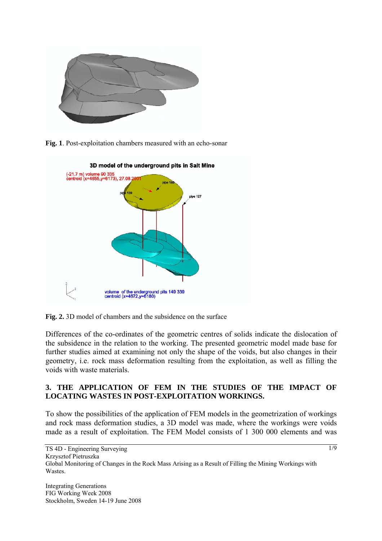

**Fig. 1**. Post-exploitation chambers measured with an echo-sonar



**Fig. 2.** 3D model of chambers and the subsidence on the surface

Differences of the co-ordinates of the geometric centres of solids indicate the dislocation of the subsidence in the relation to the working. The presented geometric model made base for further studies aimed at examining not only the shape of the voids, but also changes in their geometry, i.e. rock mass deformation resulting from the exploitation, as well as filling the voids with waste materials.

# **3. THE APPLICATION OF FEM IN THE STUDIES OF THE IMPACT OF LOCATING WASTES IN POST-EXPLOITATION WORKINGS.**

To show the possibilities of the application of FEM models in the geometrization of workings and rock mass deformation studies, a 3D model was made, where the workings were voids made as a result of exploitation. The FEM Model consists of 1 300 000 elements and was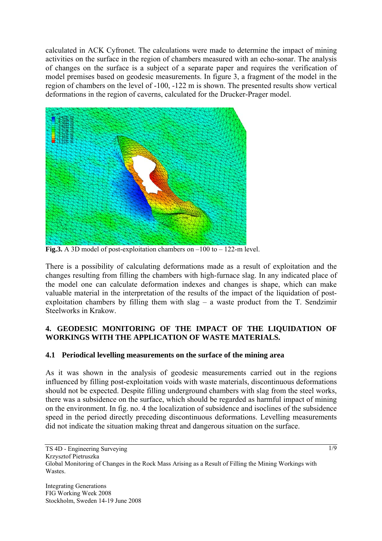calculated in ACK Cyfronet. The calculations were made to determine the impact of mining activities on the surface in the region of chambers measured with an echo-sonar. The analysis of changes on the surface is a subject of a separate paper and requires the verification of model premises based on geodesic measurements. In figure 3, a fragment of the model in the region of chambers on the level of -100, -122 m is shown. The presented results show vertical deformations in the region of caverns, calculated for the Drucker-Prager model.



**Fig.3.** A 3D model of post-exploitation chambers on –100 to – 122-m level.

There is a possibility of calculating deformations made as a result of exploitation and the changes resulting from filling the chambers with high-furnace slag. In any indicated place of the model one can calculate deformation indexes and changes is shape, which can make valuable material in the interpretation of the results of the impact of the liquidation of postexploitation chambers by filling them with slag – a waste product from the T. Sendzimir Steelworks in Krakow.

# **4. GEODESIC MONITORING OF THE IMPACT OF THE LIQUIDATION OF WORKINGS WITH THE APPLICATION OF WASTE MATERIALS.**

# **4.1 Periodical levelling measurements on the surface of the mining area**

As it was shown in the analysis of geodesic measurements carried out in the regions influenced by filling post-exploitation voids with waste materials, discontinuous deformations should not be expected. Despite filling underground chambers with slag from the steel works, there was a subsidence on the surface, which should be regarded as harmful impact of mining on the environment. In fig. no. 4 the localization of subsidence and isoclines of the subsidence speed in the period directly preceding discontinuous deformations. Levelling measurements did not indicate the situation making threat and dangerous situation on the surface.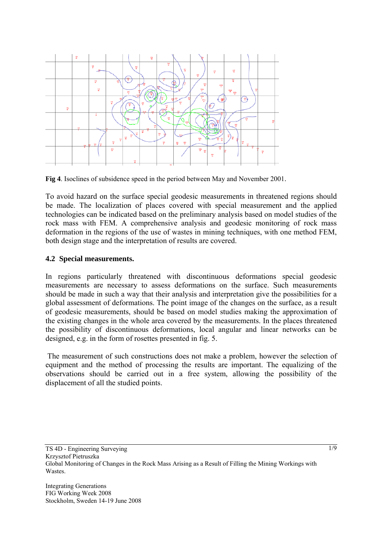

**Fig 4**. Isoclines of subsidence speed in the period between May and November 2001.

To avoid hazard on the surface special geodesic measurements in threatened regions should be made. The localization of places covered with special measurement and the applied technologies can be indicated based on the preliminary analysis based on model studies of the rock mass with FEM. A comprehensive analysis and geodesic monitoring of rock mass deformation in the regions of the use of wastes in mining techniques, with one method FEM, both design stage and the interpretation of results are covered.

#### **4.2 Special measurements.**

In regions particularly threatened with discontinuous deformations special geodesic measurements are necessary to assess deformations on the surface. Such measurements should be made in such a way that their analysis and interpretation give the possibilities for a global assessment of deformations. The point image of the changes on the surface, as a result of geodesic measurements, should be based on model studies making the approximation of the existing changes in the whole area covered by the measurements. In the places threatened the possibility of discontinuous deformations, local angular and linear networks can be designed, e.g. in the form of rosettes presented in fig. 5.

 The measurement of such constructions does not make a problem, however the selection of equipment and the method of processing the results are important. The equalizing of the observations should be carried out in a free system, allowing the possibility of the displacement of all the studied points.

1/9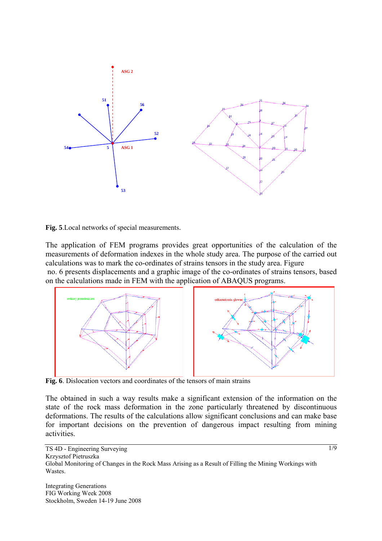



The application of FEM programs provides great opportunities of the calculation of the measurements of deformation indexes in the whole study area. The purpose of the carried out calculations was to mark the co-ordinates of strains tensors in the study area. Figure no. 6 presents displacements and a graphic image of the co-ordinates of strains tensors, based on the calculations made in FEM with the application of ABAQUS programs.



**Fig. 6**. Dislocation vectors and coordinates of the tensors of main strains

The obtained in such a way results make a significant extension of the information on the state of the rock mass deformation in the zone particularly threatened by discontinuous deformations. The results of the calculations allow significant conclusions and can make base for important decisions on the prevention of dangerous impact resulting from mining activities.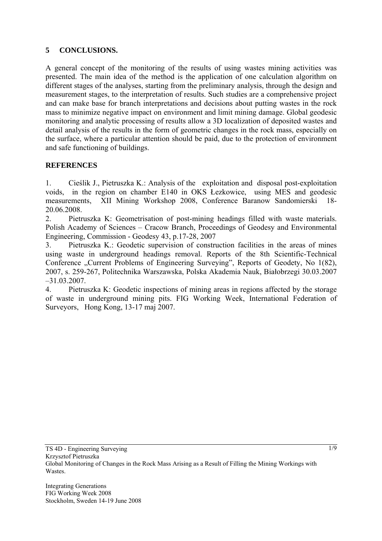# **5 CONCLUSIONS.**

A general concept of the monitoring of the results of using wastes mining activities was presented. The main idea of the method is the application of one calculation algorithm on different stages of the analyses, starting from the preliminary analysis, through the design and measurement stages, to the interpretation of results. Such studies are a comprehensive project and can make base for branch interpretations and decisions about putting wastes in the rock mass to minimize negative impact on environment and limit mining damage. Global geodesic monitoring and analytic processing of results allow a 3D localization of deposited wastes and detail analysis of the results in the form of geometric changes in the rock mass, especially on the surface, where a particular attention should be paid, due to the protection of environment and safe functioning of buildings.

# **REFERENCES**

1. Cieślik J., Pietruszka K.: Analysis of the exploitation and disposal post-exploitation voids, in the region on chamber E140 in OKS Łezkowice, using MES and geodesic measurements, XII Mining Workshop 2008, Conference Baranow Sandomierski 18- 20.06.2008.

2. Pietruszka K: Geometrisation of post-mining headings filled with waste materials. Polish Academy of Sciences – Cracow Branch, Proceedings of Geodesy and Environmental Engineering, Commission - Geodesy 43, p.17-28, 2007

3. Pietruszka K.: Geodetic supervision of construction facilities in the areas of mines using waste in underground headings removal. Reports of the 8th Scientific-Technical Conference "Current Problems of Engineering Surveying", Reports of Geodety, No 1(82), 2007, s. 259-267, Politechnika Warszawska, Polska Akademia Nauk, Białobrzegi 30.03.2007 –31.03.2007.

4. Pietruszka K: Geodetic inspections of mining areas in regions affected by the storage of waste in underground mining pits. FIG Working Week, International Federation of Surveyors, Hong Kong, 13-17 maj 2007.